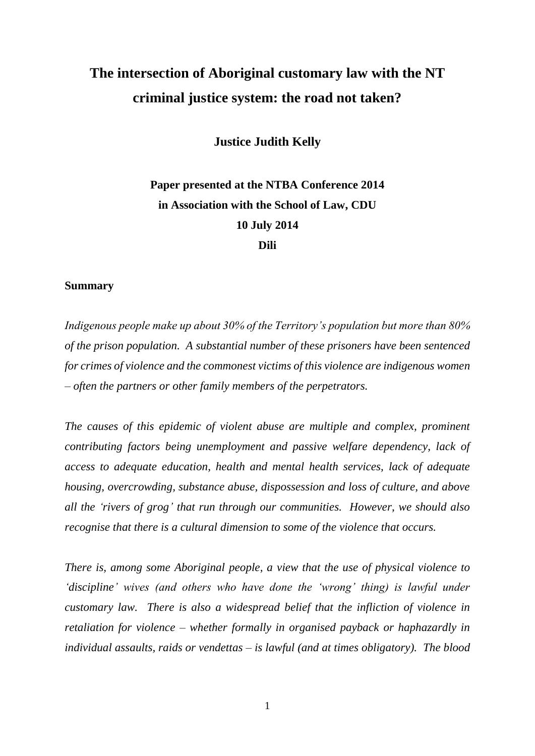# **The intersection of Aboriginal customary law with the NT criminal justice system: the road not taken?**

**Justice Judith Kelly**

## **Paper presented at the NTBA Conference 2014 in Association with the School of Law, CDU 10 July 2014 Dili**

#### **Summary**

*Indigenous people make up about 30% of the Territory's population but more than 80% of the prison population. A substantial number of these prisoners have been sentenced for crimes of violence and the commonest victims of this violence are indigenous women – often the partners or other family members of the perpetrators.*

*The causes of this epidemic of violent abuse are multiple and complex, prominent contributing factors being unemployment and passive welfare dependency, lack of access to adequate education, health and mental health services, lack of adequate housing, overcrowding, substance abuse, dispossession and loss of culture, and above all the 'rivers of grog' that run through our communities. However, we should also recognise that there is a cultural dimension to some of the violence that occurs.* 

*There is, among some Aboriginal people, a view that the use of physical violence to 'discipline' wives (and others who have done the 'wrong' thing) is lawful under customary law. There is also a widespread belief that the infliction of violence in retaliation for violence – whether formally in organised payback or haphazardly in individual assaults, raids or vendettas – is lawful (and at times obligatory). The blood*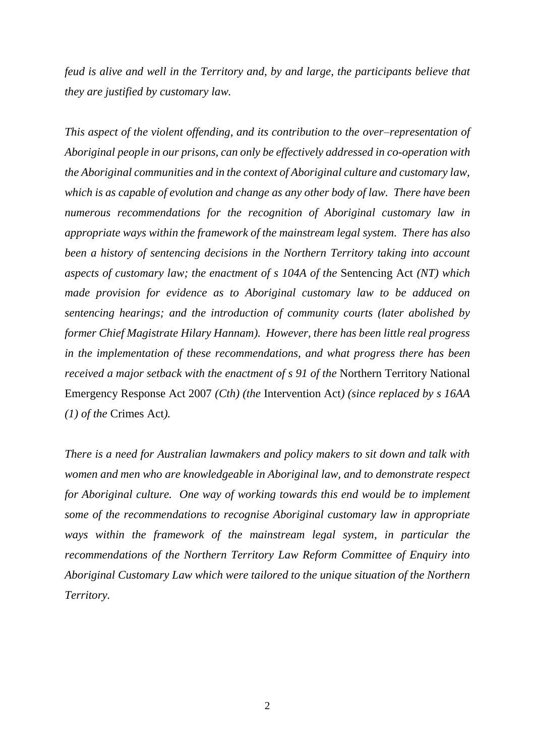*feud is alive and well in the Territory and, by and large, the participants believe that they are justified by customary law.*

*This aspect of the violent offending, and its contribution to the over–representation of Aboriginal people in our prisons, can only be effectively addressed in co-operation with the Aboriginal communities and in the context of Aboriginal culture and customary law, which is as capable of evolution and change as any other body of law. There have been numerous recommendations for the recognition of Aboriginal customary law in appropriate ways within the framework of the mainstream legal system. There has also been a history of sentencing decisions in the Northern Territory taking into account aspects of customary law; the enactment of s 104A of the* Sentencing Act *(NT) which made provision for evidence as to Aboriginal customary law to be adduced on sentencing hearings; and the introduction of community courts (later abolished by former Chief Magistrate Hilary Hannam). However, there has been little real progress in the implementation of these recommendations, and what progress there has been received a major setback with the enactment of s 91 of the* Northern Territory National Emergency Response Act 2007 *(Cth) (the* Intervention Act*) (since replaced by s 16AA (1) of the* Crimes Act*).*

*There is a need for Australian lawmakers and policy makers to sit down and talk with women and men who are knowledgeable in Aboriginal law, and to demonstrate respect for Aboriginal culture. One way of working towards this end would be to implement some of the recommendations to recognise Aboriginal customary law in appropriate ways within the framework of the mainstream legal system, in particular the recommendations of the Northern Territory Law Reform Committee of Enquiry into Aboriginal Customary Law which were tailored to the unique situation of the Northern Territory.*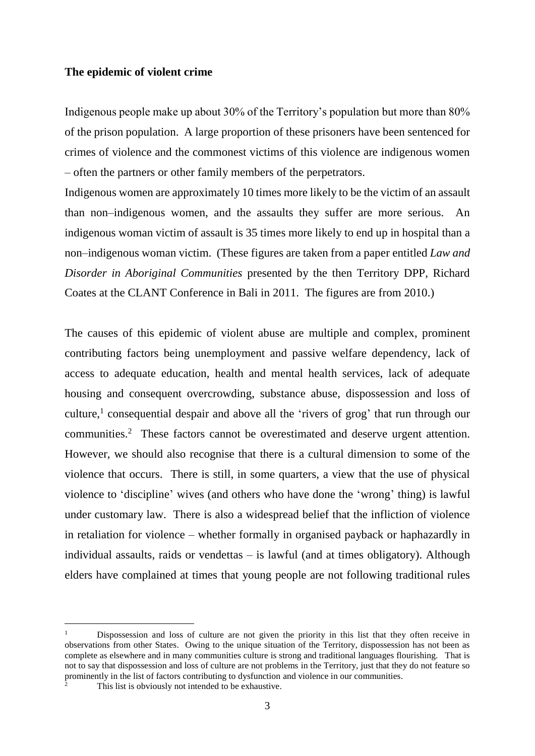#### **The epidemic of violent crime**

Indigenous people make up about 30% of the Territory's population but more than 80% of the prison population. A large proportion of these prisoners have been sentenced for crimes of violence and the commonest victims of this violence are indigenous women – often the partners or other family members of the perpetrators.

Indigenous women are approximately 10 times more likely to be the victim of an assault than non–indigenous women, and the assaults they suffer are more serious. An indigenous woman victim of assault is 35 times more likely to end up in hospital than a non–indigenous woman victim. (These figures are taken from a paper entitled *Law and Disorder in Aboriginal Communities* presented by the then Territory DPP, Richard Coates at the CLANT Conference in Bali in 2011. The figures are from 2010.)

The causes of this epidemic of violent abuse are multiple and complex, prominent contributing factors being unemployment and passive welfare dependency, lack of access to adequate education, health and mental health services, lack of adequate housing and consequent overcrowding, substance abuse, dispossession and loss of culture, 1 consequential despair and above all the 'rivers of grog' that run through our communities.<sup>2</sup> These factors cannot be overestimated and deserve urgent attention. However, we should also recognise that there is a cultural dimension to some of the violence that occurs. There is still, in some quarters, a view that the use of physical violence to 'discipline' wives (and others who have done the 'wrong' thing) is lawful under customary law. There is also a widespread belief that the infliction of violence in retaliation for violence – whether formally in organised payback or haphazardly in individual assaults, raids or vendettas – is lawful (and at times obligatory). Although elders have complained at times that young people are not following traditional rules

<sup>&</sup>lt;sup>1</sup> Dispossession and loss of culture are not given the priority in this list that they often receive in observations from other States. Owing to the unique situation of the Territory, dispossession has not been as complete as elsewhere and in many communities culture is strong and traditional languages flourishing. That is not to say that dispossession and loss of culture are not problems in the Territory, just that they do not feature so prominently in the list of factors contributing to dysfunction and violence in our communities.

This list is obviously not intended to be exhaustive.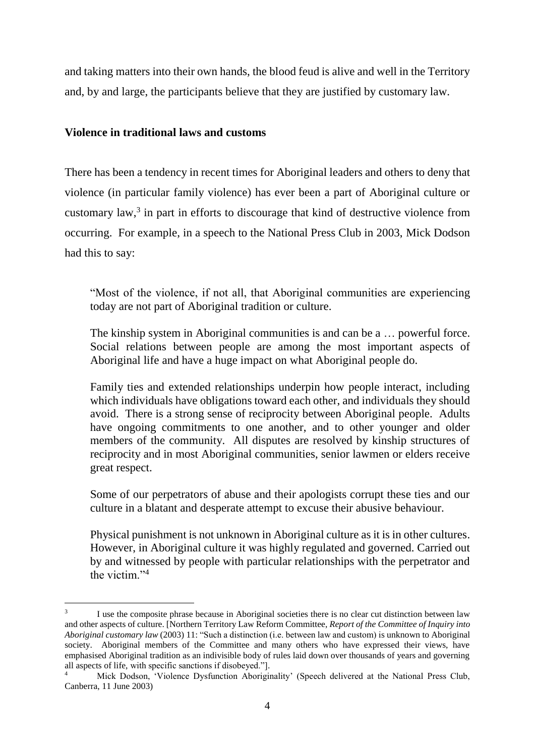and taking matters into their own hands, the blood feud is alive and well in the Territory and, by and large, the participants believe that they are justified by customary law.

#### **Violence in traditional laws and customs**

 $\overline{a}$ 

There has been a tendency in recent times for Aboriginal leaders and others to deny that violence (in particular family violence) has ever been a part of Aboriginal culture or customary law,<sup>3</sup> in part in efforts to discourage that kind of destructive violence from occurring. For example, in a speech to the National Press Club in 2003, Mick Dodson had this to say:

"Most of the violence, if not all, that Aboriginal communities are experiencing today are not part of Aboriginal tradition or culture.

The kinship system in Aboriginal communities is and can be a … powerful force. Social relations between people are among the most important aspects of Aboriginal life and have a huge impact on what Aboriginal people do.

Family ties and extended relationships underpin how people interact, including which individuals have obligations toward each other, and individuals they should avoid. There is a strong sense of reciprocity between Aboriginal people. Adults have ongoing commitments to one another, and to other younger and older members of the community. All disputes are resolved by kinship structures of reciprocity and in most Aboriginal communities, senior lawmen or elders receive great respect.

Some of our perpetrators of abuse and their apologists corrupt these ties and our culture in a blatant and desperate attempt to excuse their abusive behaviour.

Physical punishment is not unknown in Aboriginal culture as it is in other cultures. However, in Aboriginal culture it was highly regulated and governed. Carried out by and witnessed by people with particular relationships with the perpetrator and the victim."<sup>4</sup>

<sup>3</sup> I use the composite phrase because in Aboriginal societies there is no clear cut distinction between law and other aspects of culture. [Northern Territory Law Reform Committee, *Report of the Committee of Inquiry into Aboriginal customary law* (2003) 11: "Such a distinction (i.e. between law and custom) is unknown to Aboriginal society. Aboriginal members of the Committee and many others who have expressed their views, have emphasised Aboriginal tradition as an indivisible body of rules laid down over thousands of years and governing all aspects of life, with specific sanctions if disobeyed."].

Mick Dodson, 'Violence Dysfunction Aboriginality' (Speech delivered at the National Press Club, Canberra, 11 June 2003)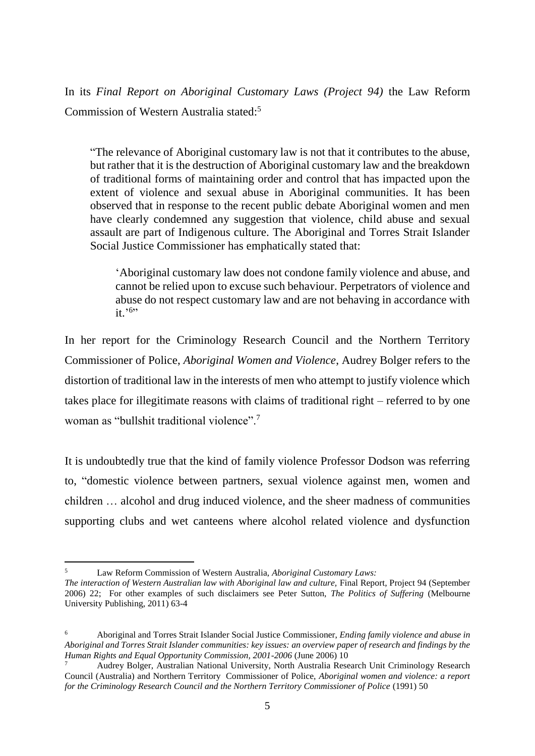In its *Final Report on Aboriginal Customary Laws (Project 94)* the Law Reform Commission of Western Australia stated: 5

"The relevance of Aboriginal customary law is not that it contributes to the abuse, but rather that it is the destruction of Aboriginal customary law and the breakdown of traditional forms of maintaining order and control that has impacted upon the extent of violence and sexual abuse in Aboriginal communities. It has been observed that in response to the recent public debate Aboriginal women and men have clearly condemned any suggestion that violence, child abuse and sexual assault are part of Indigenous culture. The Aboriginal and Torres Strait Islander Social Justice Commissioner has emphatically stated that:

'Aboriginal customary law does not condone family violence and abuse, and cannot be relied upon to excuse such behaviour. Perpetrators of violence and abuse do not respect customary law and are not behaving in accordance with it.'<sup>6</sup>"

In her report for the Criminology Research Council and the Northern Territory Commissioner of Police, *Aboriginal Women and Violence*, Audrey Bolger refers to the distortion of traditional law in the interests of men who attempt to justify violence which takes place for illegitimate reasons with claims of traditional right – referred to by one woman as "bullshit traditional violence".<sup>7</sup>

It is undoubtedly true that the kind of family violence Professor Dodson was referring to, "domestic violence between partners, sexual violence against men, women and children … alcohol and drug induced violence, and the sheer madness of communities supporting clubs and wet canteens where alcohol related violence and dysfunction

<sup>5</sup> Law Reform Commission of Western Australia, *Aboriginal Customary Laws:*

*The interaction of Western Australian law with Aboriginal law and culture,* Final Report, Project 94 (September 2006) 22; For other examples of such disclaimers see Peter Sutton, *The Politics of Suffering* (Melbourne University Publishing, 2011) 63-4

<sup>6</sup> Aboriginal and Torres Strait Islander Social Justice Commissioner, *Ending family violence and abuse in Aboriginal and Torres Strait Islander communities: key issues: an overview paper of research and findings by the Human Rights and Equal Opportunity Commission, 2001-2006* (June 2006) 10

<sup>7</sup> Audrey Bolger, Australian National University, North Australia Research Unit Criminology Research Council (Australia) and Northern Territory Commissioner of Police, *Aboriginal women and violence: a report for the Criminology Research Council and the Northern Territory Commissioner of Police* (1991) 50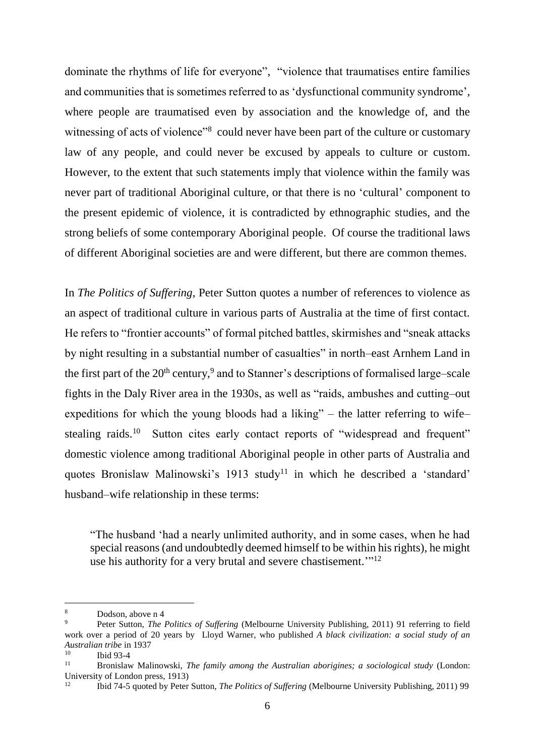dominate the rhythms of life for everyone", "violence that traumatises entire families and communities that is sometimes referred to as 'dysfunctional community syndrome', where people are traumatised even by association and the knowledge of, and the witnessing of acts of violence"<sup>8</sup> could never have been part of the culture or customary law of any people, and could never be excused by appeals to culture or custom. However, to the extent that such statements imply that violence within the family was never part of traditional Aboriginal culture, or that there is no 'cultural' component to the present epidemic of violence, it is contradicted by ethnographic studies, and the strong beliefs of some contemporary Aboriginal people. Of course the traditional laws of different Aboriginal societies are and were different, but there are common themes.

In *The Politics of Suffering*, Peter Sutton quotes a number of references to violence as an aspect of traditional culture in various parts of Australia at the time of first contact. He refers to "frontier accounts" of formal pitched battles, skirmishes and "sneak attacks by night resulting in a substantial number of casualties" in north–east Arnhem Land in the first part of the  $20<sup>th</sup>$  century,<sup>9</sup> and to Stanner's descriptions of formalised large–scale fights in the Daly River area in the 1930s, as well as "raids, ambushes and cutting–out expeditions for which the young bloods had a liking" – the latter referring to wife– stealing raids.<sup>10</sup> Sutton cites early contact reports of "widespread and frequent" domestic violence among traditional Aboriginal people in other parts of Australia and quotes Bronislaw Malinowski's 1913 study<sup>11</sup> in which he described a 'standard' husband–wife relationship in these terms:

"The husband 'had a nearly unlimited authority, and in some cases, when he had special reasons (and undoubtedly deemed himself to be within his rights), he might use his authority for a very brutal and severe chastisement."<sup>12</sup>

<sup>8</sup> Dodson, above n 4

<sup>9</sup> Peter Sutton, *The Politics of Suffering* (Melbourne University Publishing, 2011) 91 referring to field work over a period of 20 years by Lloyd Warner, who published *A black civilization: a social study of an Australian tribe* in 1937

 $\begin{array}{cc}\n 10 \\
11\n \end{array}$  Ibid 93-4

<sup>11</sup> Bronislaw Malinowski, *The family among the Australian aborigines; a sociological study* (London: University of London press, 1913)

<sup>12</sup> Ibid 74-5 quoted by Peter Sutton, *The Politics of Suffering* (Melbourne University Publishing, 2011) 99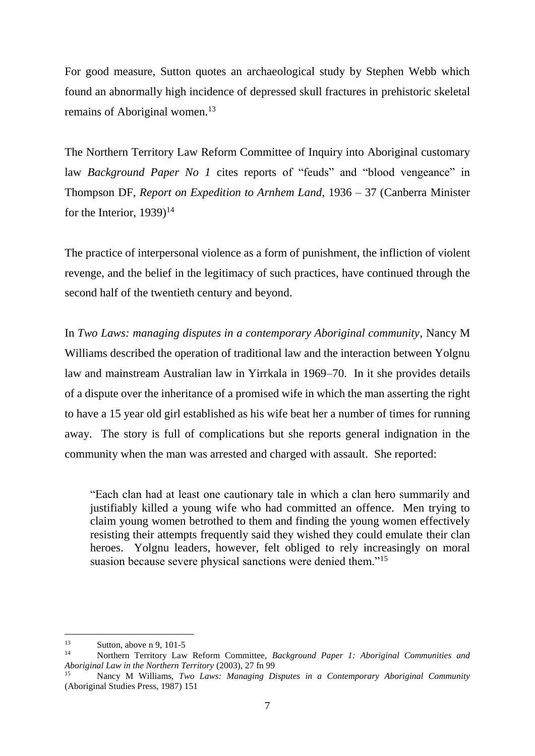For good measure, Sutton quotes an archaeological study by Stephen Webb which found an abnormally high incidence of depressed skull fractures in prehistoric skeletal remains of Aboriginal women.<sup>13</sup>

The Northern Territory Law Reform Committee of Inquiry into Aboriginal customary law *Background Paper No 1* cites reports of "feuds" and "blood vengeance" in Thompson DF, *Report on Expedition to Arnhem Land*, 1936 – 37 (Canberra Minister for the Interior,  $1939$ <sup>14</sup>

The practice of interpersonal violence as a form of punishment, the infliction of violent revenge, and the belief in the legitimacy of such practices, have continued through the second half of the twentieth century and beyond.

In *Two Laws: managing disputes in a contemporary Aboriginal community*, Nancy M Williams described the operation of traditional law and the interaction between Yolgnu law and mainstream Australian law in Yirrkala in 1969–70. In it she provides details of a dispute over the inheritance of a promised wife in which the man asserting the right to have a 15 year old girl established as his wife beat her a number of times for running away. The story is full of complications but she reports general indignation in the community when the man was arrested and charged with assault. She reported:

"Each clan had at least one cautionary tale in which a clan hero summarily and justifiably killed a young wife who had committed an offence. Men trying to claim young women betrothed to them and finding the young women effectively resisting their attempts frequently said they wished they could emulate their clan heroes. Yolgnu leaders, however, felt obliged to rely increasingly on moral suasion because severe physical sanctions were denied them."<sup>15</sup>

 $13$  $\frac{13}{14}$  Sutton, above n 9, 101-5

<sup>14</sup> Northern Territory Law Reform Committee, *Background Paper 1: Aboriginal Communities and Aboriginal Law in the Northern Territory* (2003), 27 fn 99

<sup>15</sup> Nancy M Williams, *Two Laws: Managing Disputes in a Contemporary Aboriginal Community* (Aboriginal Studies Press, 1987) 151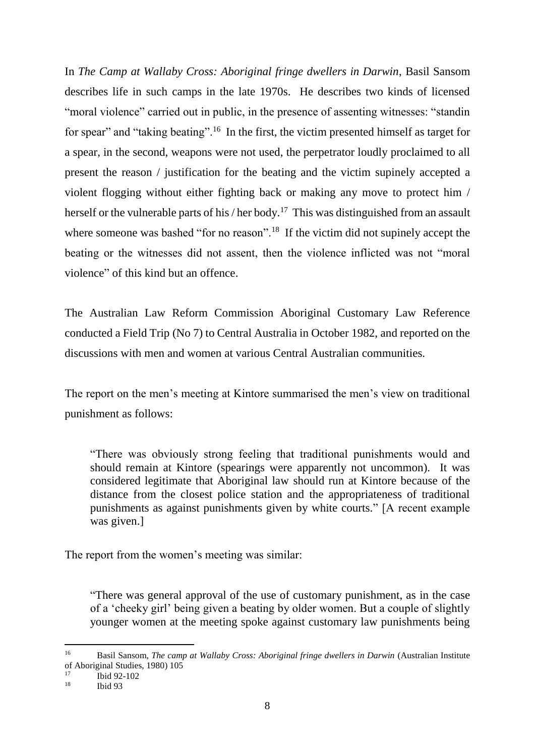In *The Camp at Wallaby Cross: Aboriginal fringe dwellers in Darwin*, Basil Sansom describes life in such camps in the late 1970s. He describes two kinds of licensed "moral violence" carried out in public, in the presence of assenting witnesses: "standin for spear" and "taking beating".<sup>16</sup> In the first, the victim presented himself as target for a spear, in the second, weapons were not used, the perpetrator loudly proclaimed to all present the reason / justification for the beating and the victim supinely accepted a violent flogging without either fighting back or making any move to protect him / herself or the vulnerable parts of his / her body.<sup>17</sup> This was distinguished from an assault where someone was bashed "for no reason".<sup>18</sup> If the victim did not supinely accept the beating or the witnesses did not assent, then the violence inflicted was not "moral violence" of this kind but an offence.

The Australian Law Reform Commission Aboriginal Customary Law Reference conducted a Field Trip (No 7) to Central Australia in October 1982, and reported on the discussions with men and women at various Central Australian communities.

The report on the men's meeting at Kintore summarised the men's view on traditional punishment as follows:

"There was obviously strong feeling that traditional punishments would and should remain at Kintore (spearings were apparently not uncommon). It was considered legitimate that Aboriginal law should run at Kintore because of the distance from the closest police station and the appropriateness of traditional punishments as against punishments given by white courts." [A recent example was given.]

The report from the women's meeting was similar:

"There was general approval of the use of customary punishment, as in the case of a 'cheeky girl' being given a beating by older women. But a couple of slightly younger women at the meeting spoke against customary law punishments being

 $16$ <sup>16</sup> Basil Sansom, *The camp at Wallaby Cross: Aboriginal fringe dwellers in Darwin* (Australian Institute of Aboriginal Studies, 1980) 105

 $\frac{17}{18}$  Ibid 92-102

Ibid 93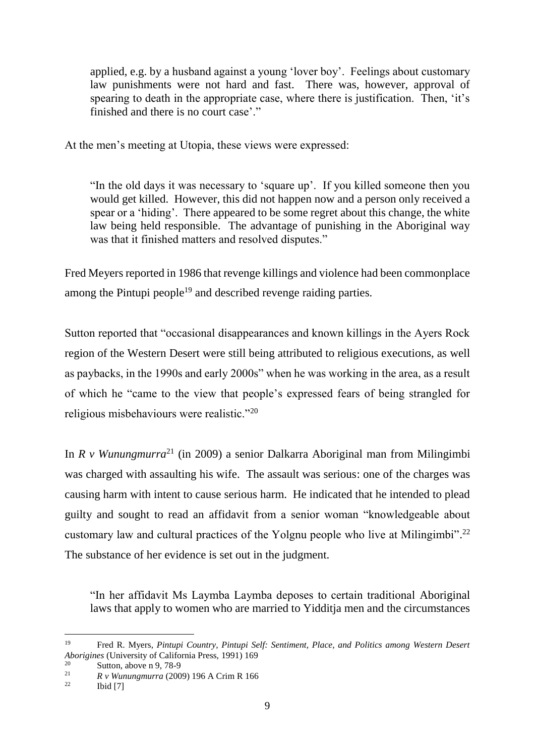applied, e.g. by a husband against a young 'lover boy'. Feelings about customary law punishments were not hard and fast. There was, however, approval of spearing to death in the appropriate case, where there is justification. Then, 'it's finished and there is no court case'."

At the men's meeting at Utopia, these views were expressed:

"In the old days it was necessary to 'square up'. If you killed someone then you would get killed. However, this did not happen now and a person only received a spear or a 'hiding'. There appeared to be some regret about this change, the white law being held responsible. The advantage of punishing in the Aboriginal way was that it finished matters and resolved disputes."

Fred Meyers reported in 1986 that revenge killings and violence had been commonplace among the Pintupi people<sup>19</sup> and described revenge raiding parties.

Sutton reported that "occasional disappearances and known killings in the Ayers Rock region of the Western Desert were still being attributed to religious executions, as well as paybacks, in the 1990s and early 2000s" when he was working in the area, as a result of which he "came to the view that people's expressed fears of being strangled for religious misbehaviours were realistic."<sup>20</sup>

In *R v Wunungmurra*<sup>21</sup> (in 2009) a senior Dalkarra Aboriginal man from Milingimbi was charged with assaulting his wife. The assault was serious: one of the charges was causing harm with intent to cause serious harm. He indicated that he intended to plead guilty and sought to read an affidavit from a senior woman "knowledgeable about customary law and cultural practices of the Yolgnu people who live at Milingimbi".<sup>22</sup> The substance of her evidence is set out in the judgment.

"In her affidavit Ms Laymba Laymba deposes to certain traditional Aboriginal laws that apply to women who are married to Yidditja men and the circumstances

<sup>19</sup> Fred R. Myers, *Pintupi Country, Pintupi Self: Sentiment, Place, and Politics among Western Desert Aborigines* (University of California Press, 1991) 169

<sup>&</sup>lt;sup>20</sup> Sutton, above n 9, 78-9<br><sup>21</sup> *B*  $\cdot$  *Western among* (200

<sup>&</sup>lt;sup>21</sup> *R v Wunungmurra* (2009) 196 A Crim R 166

Ibid  $[7]$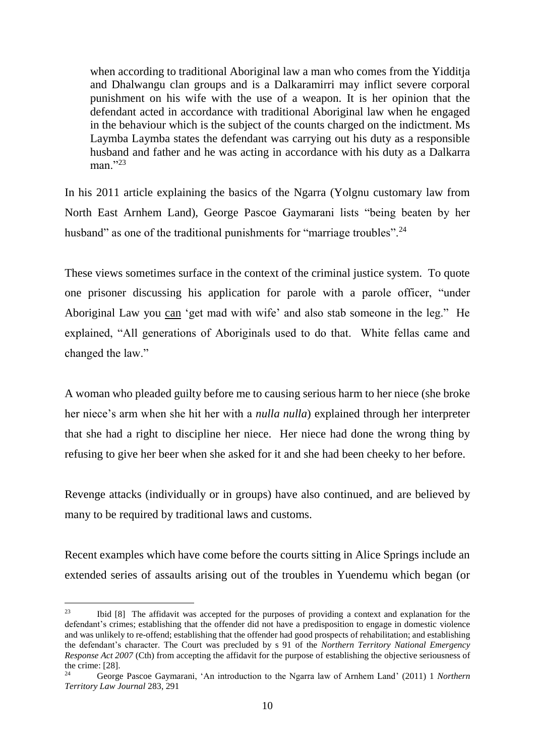when according to traditional Aboriginal law a man who comes from the Yidditja and Dhalwangu clan groups and is a Dalkaramirri may inflict severe corporal punishment on his wife with the use of a weapon. It is her opinion that the defendant acted in accordance with traditional Aboriginal law when he engaged in the behaviour which is the subject of the counts charged on the indictment. Ms Laymba Laymba states the defendant was carrying out his duty as a responsible husband and father and he was acting in accordance with his duty as a Dalkarra man<sup>"23</sup>

In his 2011 article explaining the basics of the Ngarra (Yolgnu customary law from North East Arnhem Land), George Pascoe Gaymarani lists "being beaten by her husband" as one of the traditional punishments for "marriage troubles".<sup>24</sup>

These views sometimes surface in the context of the criminal justice system. To quote one prisoner discussing his application for parole with a parole officer, "under Aboriginal Law you can 'get mad with wife' and also stab someone in the leg." He explained, "All generations of Aboriginals used to do that. White fellas came and changed the law."

A woman who pleaded guilty before me to causing serious harm to her niece (she broke her niece's arm when she hit her with a *nulla nulla*) explained through her interpreter that she had a right to discipline her niece. Her niece had done the wrong thing by refusing to give her beer when she asked for it and she had been cheeky to her before.

Revenge attacks (individually or in groups) have also continued, and are believed by many to be required by traditional laws and customs.

Recent examples which have come before the courts sitting in Alice Springs include an extended series of assaults arising out of the troubles in Yuendemu which began (or

<sup>&</sup>lt;sup>23</sup> Ibid [8] The affidavit was accepted for the purposes of providing a context and explanation for the defendant's crimes; establishing that the offender did not have a predisposition to engage in domestic violence and was unlikely to re-offend; establishing that the offender had good prospects of rehabilitation; and establishing the defendant's character. The Court was precluded by s 91 of the *Northern Territory National Emergency Response Act 2007* (Cth) from accepting the affidavit for the purpose of establishing the objective seriousness of the crime: [28].

<sup>24</sup> George Pascoe Gaymarani, 'An introduction to the Ngarra law of Arnhem Land' (2011) 1 *Northern Territory Law Journal* 283, 291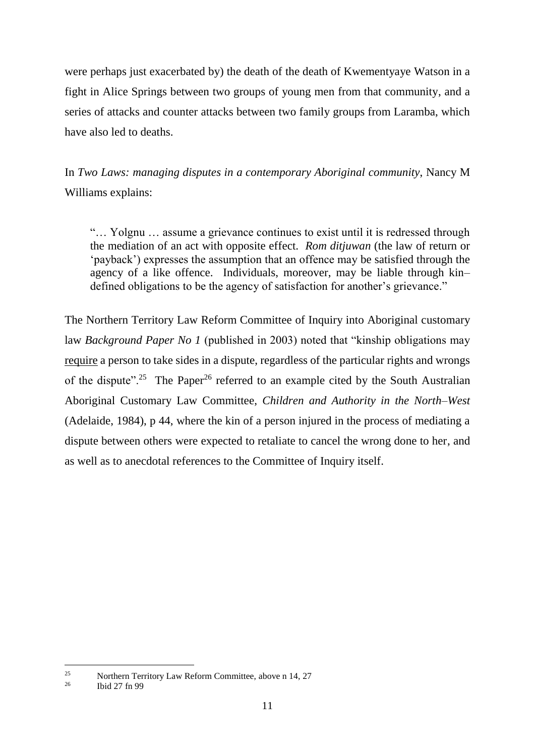were perhaps just exacerbated by) the death of the death of Kwementyaye Watson in a fight in Alice Springs between two groups of young men from that community, and a series of attacks and counter attacks between two family groups from Laramba, which have also led to deaths.

In *Two Laws: managing disputes in a contemporary Aboriginal community*, Nancy M Williams explains:

"… Yolgnu … assume a grievance continues to exist until it is redressed through the mediation of an act with opposite effect. *Rom ditjuwan* (the law of return or 'payback') expresses the assumption that an offence may be satisfied through the agency of a like offence. Individuals, moreover, may be liable through kin– defined obligations to be the agency of satisfaction for another's grievance."

The Northern Territory Law Reform Committee of Inquiry into Aboriginal customary law *Background Paper No 1* (published in 2003) noted that "kinship obligations may require a person to take sides in a dispute, regardless of the particular rights and wrongs of the dispute".<sup>25</sup> The Paper<sup>26</sup> referred to an example cited by the South Australian Aboriginal Customary Law Committee, *Children and Authority in the North–West* (Adelaide, 1984), p 44, where the kin of a person injured in the process of mediating a dispute between others were expected to retaliate to cancel the wrong done to her, and as well as to anecdotal references to the Committee of Inquiry itself.

<sup>&</sup>lt;sup>25</sup><br>Northern Territory Law Reform Committee, above n 14, 27<br> $^{26}$ 

<sup>26</sup> Ibid 27 fn 99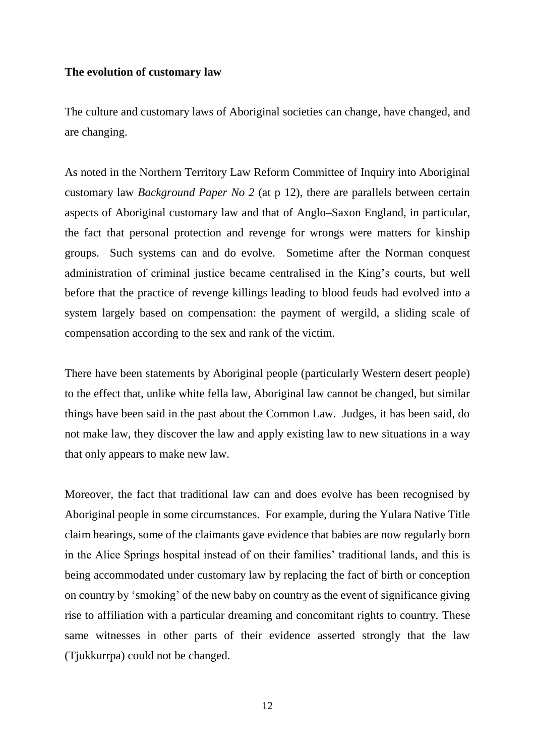#### **The evolution of customary law**

The culture and customary laws of Aboriginal societies can change, have changed, and are changing.

As noted in the Northern Territory Law Reform Committee of Inquiry into Aboriginal customary law *Background Paper No 2* (at p 12), there are parallels between certain aspects of Aboriginal customary law and that of Anglo–Saxon England, in particular, the fact that personal protection and revenge for wrongs were matters for kinship groups. Such systems can and do evolve. Sometime after the Norman conquest administration of criminal justice became centralised in the King's courts, but well before that the practice of revenge killings leading to blood feuds had evolved into a system largely based on compensation: the payment of wergild, a sliding scale of compensation according to the sex and rank of the victim.

There have been statements by Aboriginal people (particularly Western desert people) to the effect that, unlike white fella law, Aboriginal law cannot be changed, but similar things have been said in the past about the Common Law. Judges, it has been said, do not make law, they discover the law and apply existing law to new situations in a way that only appears to make new law.

Moreover, the fact that traditional law can and does evolve has been recognised by Aboriginal people in some circumstances. For example, during the Yulara Native Title claim hearings, some of the claimants gave evidence that babies are now regularly born in the Alice Springs hospital instead of on their families' traditional lands, and this is being accommodated under customary law by replacing the fact of birth or conception on country by 'smoking' of the new baby on country as the event of significance giving rise to affiliation with a particular dreaming and concomitant rights to country. These same witnesses in other parts of their evidence asserted strongly that the law (Tjukkurrpa) could not be changed.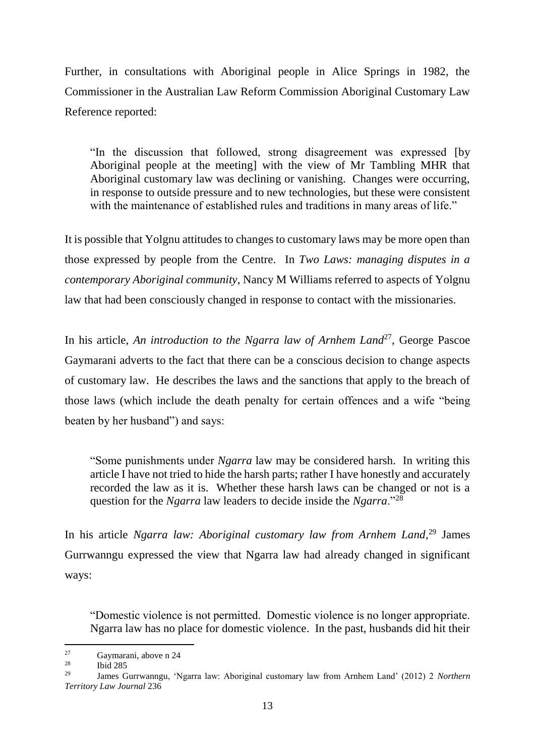Further, in consultations with Aboriginal people in Alice Springs in 1982, the Commissioner in the Australian Law Reform Commission Aboriginal Customary Law Reference reported:

"In the discussion that followed, strong disagreement was expressed [by Aboriginal people at the meeting] with the view of Mr Tambling MHR that Aboriginal customary law was declining or vanishing. Changes were occurring, in response to outside pressure and to new technologies, but these were consistent with the maintenance of established rules and traditions in many areas of life."

It is possible that Yolgnu attitudes to changes to customary laws may be more open than those expressed by people from the Centre. In *Two Laws: managing disputes in a contemporary Aboriginal community*, Nancy M Williams referred to aspects of Yolgnu law that had been consciously changed in response to contact with the missionaries.

In his article, *An introduction to the Ngarra law of Arnhem Land*<sup>27</sup>, George Pascoe Gaymarani adverts to the fact that there can be a conscious decision to change aspects of customary law. He describes the laws and the sanctions that apply to the breach of those laws (which include the death penalty for certain offences and a wife "being beaten by her husband") and says:

"Some punishments under *Ngarra* law may be considered harsh. In writing this article I have not tried to hide the harsh parts; rather I have honestly and accurately recorded the law as it is. Whether these harsh laws can be changed or not is a question for the *Ngarra* law leaders to decide inside the *Ngarra*."<sup>28</sup>

In his article *Ngarra law: Aboriginal customary law from Arnhem Land*, <sup>29</sup> James Gurrwanngu expressed the view that Ngarra law had already changed in significant ways:

"Domestic violence is not permitted. Domestic violence is no longer appropriate. Ngarra law has no place for domestic violence. In the past, husbands did hit their

 $27$ <sup>27</sup> Gaymarani, above n 24<br><sup>28</sup> Lid 295

 $\frac{28}{29}$  Ibid 285

<sup>29</sup> James Gurrwanngu, 'Ngarra law: Aboriginal customary law from Arnhem Land' (2012) 2 *Northern Territory Law Journal* 236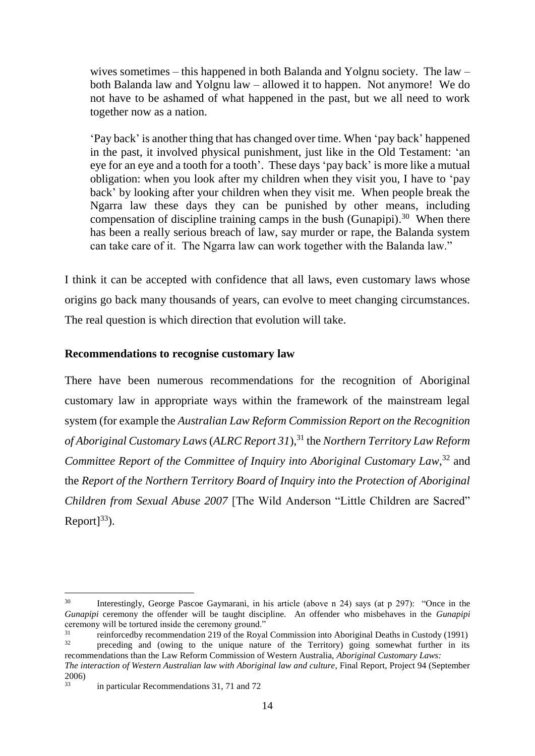wives sometimes – this happened in both Balanda and Yolgnu society. The law – both Balanda law and Yolgnu law – allowed it to happen. Not anymore! We do not have to be ashamed of what happened in the past, but we all need to work together now as a nation.

'Pay back' is another thing that has changed over time. When 'pay back' happened in the past, it involved physical punishment, just like in the Old Testament: 'an eye for an eye and a tooth for a tooth'. These days 'pay back' is more like a mutual obligation: when you look after my children when they visit you, I have to 'pay back' by looking after your children when they visit me. When people break the Ngarra law these days they can be punished by other means, including compensation of discipline training camps in the bush (Gunapipi).<sup>30</sup> When there has been a really serious breach of law, say murder or rape, the Balanda system can take care of it. The Ngarra law can work together with the Balanda law."

I think it can be accepted with confidence that all laws, even customary laws whose origins go back many thousands of years, can evolve to meet changing circumstances. The real question is which direction that evolution will take.

## **Recommendations to recognise customary law**

There have been numerous recommendations for the recognition of Aboriginal customary law in appropriate ways within the framework of the mainstream legal system (for example the *Australian Law Reform Commission Report on the Recognition of Aboriginal Customary Laws* (*ALRC Report 31*), <sup>31</sup> the *Northern Territory Law Reform Committee Report of the Committee of Inquiry into Aboriginal Customary Law*, <sup>32</sup> and the *Report of the Northern Territory Board of Inquiry into the Protection of Aboriginal Children from Sexual Abuse 2007* [The Wild Anderson "Little Children are Sacred" Report $]^{33}$ ).

<sup>30</sup> Interestingly, George Pascoe Gaymarani, in his article (above n 24) says (at p 297): "Once in the *Gunapipi* ceremony the offender will be taught discipline. An offender who misbehaves in the *Gunapipi* ceremony will be tortured inside the ceremony ground."<br><sup>31</sup><br> $\frac{31}{2}$ 

 $\frac{31}{32}$  reinforcedby recommendation 219 of the Royal Commission into Aboriginal Deaths in Custody (1991) <sup>32</sup> preceding and (owing to the unique nature of the Territory) going somewhat further in its

recommendations than the Law Reform Commission of Western Australia, *Aboriginal Customary Laws:*

*The interaction of Western Australian law with Aboriginal law and culture*, Final Report, Project 94 (September  $\frac{2006}{33}$ 

<sup>33</sup> in particular Recommendations 31, 71 and 72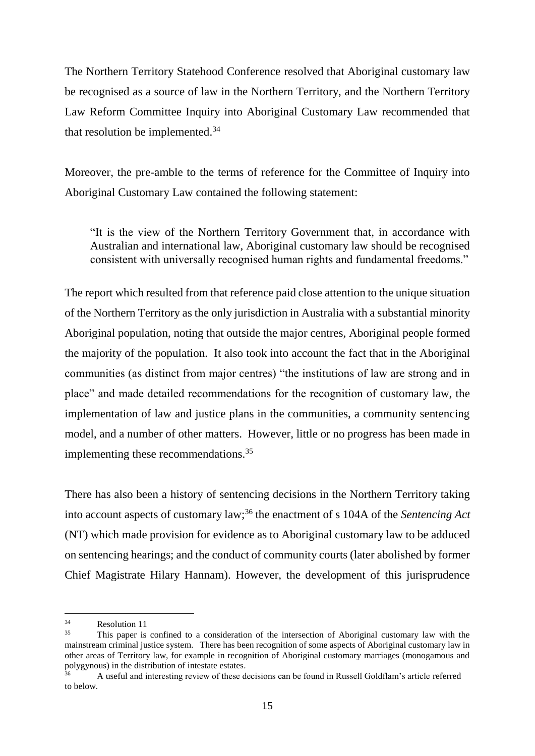The Northern Territory Statehood Conference resolved that Aboriginal customary law be recognised as a source of law in the Northern Territory, and the Northern Territory Law Reform Committee Inquiry into Aboriginal Customary Law recommended that that resolution be implemented.<sup>34</sup>

Moreover, the pre-amble to the terms of reference for the Committee of Inquiry into Aboriginal Customary Law contained the following statement:

"It is the view of the Northern Territory Government that, in accordance with Australian and international law, Aboriginal customary law should be recognised consistent with universally recognised human rights and fundamental freedoms."

The report which resulted from that reference paid close attention to the unique situation of the Northern Territory as the only jurisdiction in Australia with a substantial minority Aboriginal population, noting that outside the major centres, Aboriginal people formed the majority of the population. It also took into account the fact that in the Aboriginal communities (as distinct from major centres) "the institutions of law are strong and in place" and made detailed recommendations for the recognition of customary law, the implementation of law and justice plans in the communities, a community sentencing model, and a number of other matters. However, little or no progress has been made in implementing these recommendations.<sup>35</sup>

There has also been a history of sentencing decisions in the Northern Territory taking into account aspects of customary law; <sup>36</sup> the enactment of s 104A of the *Sentencing Act* (NT) which made provision for evidence as to Aboriginal customary law to be adduced on sentencing hearings; and the conduct of community courts (later abolished by former Chief Magistrate Hilary Hannam). However, the development of this jurisprudence

 $34$  $rac{34}{35}$  Resolution 11

<sup>35</sup> This paper is confined to a consideration of the intersection of Aboriginal customary law with the mainstream criminal justice system. There has been recognition of some aspects of Aboriginal customary law in other areas of Territory law, for example in recognition of Aboriginal customary marriages (monogamous and polygynous) in the distribution of intestate estates.

<sup>36</sup> A useful and interesting review of these decisions can be found in Russell Goldflam's article referred to below.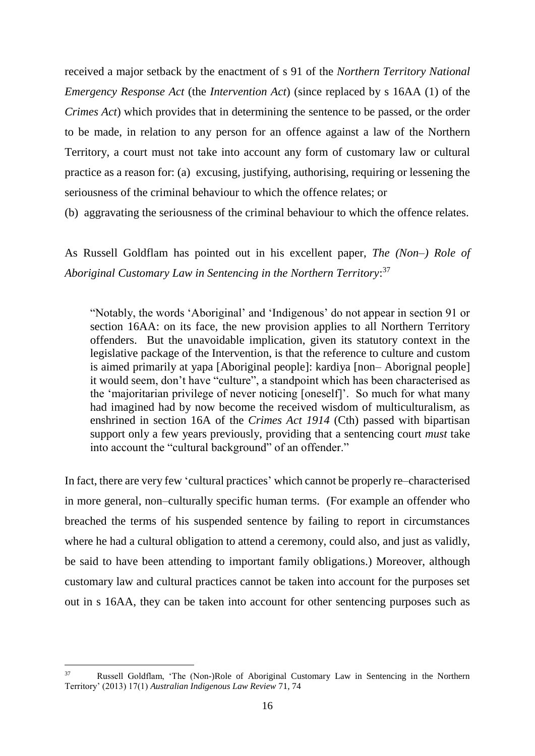received a major setback by the enactment of s 91 of the *Northern Territory National Emergency Response Act* (the *Intervention Act*) (since replaced by s 16AA (1) of the *Crimes Act*) which provides that in determining the [sentence](http://www.austlii.edu.au/au/legis/cth/consol_act/ca191482/s16.html#sentence) to be passed, or the [order](http://www.austlii.edu.au/au/legis/cth/consol_act/ca191482/s23wa.html#order) to be made, in relation to any person for an [offence](http://www.austlii.edu.au/au/legis/cth/consol_act/ca191482/s3c.html#offence) against a law of the Northern [Territory,](http://www.austlii.edu.au/au/legis/cth/consol_act/ca191482/s16.html#territory) a [court](http://www.austlii.edu.au/au/legis/cth/consol_act/ca191482/s15m.html#court) must not take into account any form of customary law or cultural practice as a reason for: (a) excusing, justifying, authorising, requiring or lessening the seriousness of the [criminal behaviour](http://www.austlii.edu.au/au/legis/cth/consol_act/ca191482/s16a.html#criminal_behaviour) to which the [offence](http://www.austlii.edu.au/au/legis/cth/consol_act/ca191482/s3c.html#offence) relates; or

(b) aggravating the seriousness of the [criminal behaviour](http://www.austlii.edu.au/au/legis/cth/consol_act/ca191482/s16a.html#criminal_behaviour) to which the [offence](http://www.austlii.edu.au/au/legis/cth/consol_act/ca191482/s3c.html#offence) relates.

As Russell Goldflam has pointed out in his excellent paper, *The (Non–) Role of Aboriginal Customary Law in Sentencing in the Northern Territory*: 37

"Notably, the words 'Aboriginal' and 'Indigenous' do not appear in section 91 or section 16AA: on its face, the new provision applies to all Northern Territory offenders. But the unavoidable implication, given its statutory context in the legislative package of the Intervention, is that the reference to culture and custom is aimed primarily at yapa [Aboriginal people]: kardiya [non– Aborignal people] it would seem, don't have "culture", a standpoint which has been characterised as the 'majoritarian privilege of never noticing [oneself]'. So much for what many had imagined had by now become the received wisdom of multiculturalism, as enshrined in section 16A of the *Crimes Act 1914* (Cth) passed with bipartisan support only a few years previously, providing that a sentencing court *must* take into account the "cultural background" of an offender."

In fact, there are very few 'cultural practices' which cannot be properly re–characterised in more general, non–culturally specific human terms. (For example an offender who breached the terms of his suspended sentence by failing to report in circumstances where he had a cultural obligation to attend a ceremony, could also, and just as validly, be said to have been attending to important family obligations.) Moreover, although customary law and cultural practices cannot be taken into account for the purposes set out in s 16AA, they can be taken into account for other sentencing purposes such as

<sup>37</sup> Russell Goldflam, 'The (Non-)Role of Aboriginal Customary Law in Sentencing in the Northern Territory' (2013) 17(1) *Australian Indigenous Law Review* 71, 74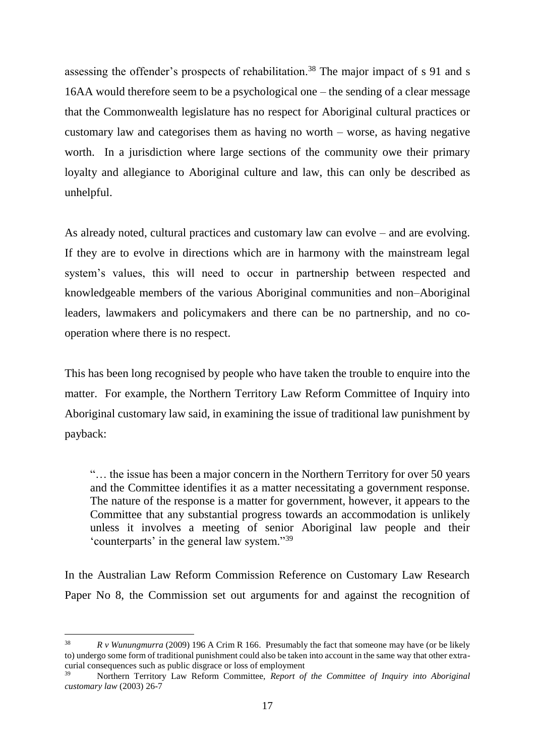assessing the offender's prospects of rehabilitation.<sup>38</sup> The major impact of s 91 and s 16AA would therefore seem to be a psychological one – the sending of a clear message that the Commonwealth legislature has no respect for Aboriginal cultural practices or customary law and categorises them as having no worth – worse, as having negative worth. In a jurisdiction where large sections of the community owe their primary loyalty and allegiance to Aboriginal culture and law, this can only be described as unhelpful.

As already noted, cultural practices and customary law can evolve – and are evolving. If they are to evolve in directions which are in harmony with the mainstream legal system's values, this will need to occur in partnership between respected and knowledgeable members of the various Aboriginal communities and non–Aboriginal leaders, lawmakers and policymakers and there can be no partnership, and no cooperation where there is no respect.

This has been long recognised by people who have taken the trouble to enquire into the matter. For example, the Northern Territory Law Reform Committee of Inquiry into Aboriginal customary law said, in examining the issue of traditional law punishment by payback:

"… the issue has been a major concern in the Northern Territory for over 50 years and the Committee identifies it as a matter necessitating a government response. The nature of the response is a matter for government, however, it appears to the Committee that any substantial progress towards an accommodation is unlikely unless it involves a meeting of senior Aboriginal law people and their 'counterparts' in the general law system."<sup>39</sup>

In the Australian Law Reform Commission Reference on Customary Law Research Paper No 8, the Commission set out arguments for and against the recognition of

<sup>38</sup> *R v Wunungmurra* (2009) 196 A Crim R 166. Presumably the fact that someone may have (or be likely to) undergo some form of traditional punishment could also be taken into account in the same way that other extracurial consequences such as public disgrace or loss of employment

<sup>39</sup> Northern Territory Law Reform Committee, *Report of the Committee of Inquiry into Aboriginal customary law* (2003) 26-7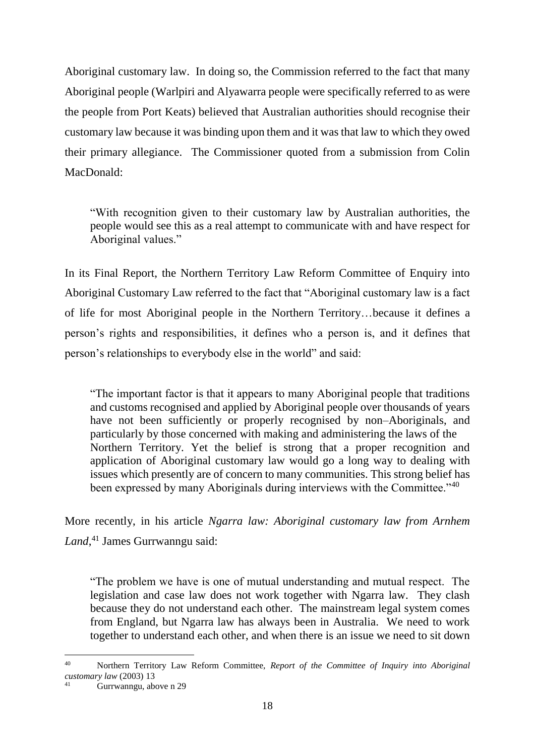Aboriginal customary law. In doing so, the Commission referred to the fact that many Aboriginal people (Warlpiri and Alyawarra people were specifically referred to as were the people from Port Keats) believed that Australian authorities should recognise their customary law because it was binding upon them and it was that law to which they owed their primary allegiance. The Commissioner quoted from a submission from Colin MacDonald:

"With recognition given to their customary law by Australian authorities, the people would see this as a real attempt to communicate with and have respect for Aboriginal values."

In its Final Report, the Northern Territory Law Reform Committee of Enquiry into Aboriginal Customary Law referred to the fact that "Aboriginal customary law is a fact of life for most Aboriginal people in the Northern Territory…because it defines a person's rights and responsibilities, it defines who a person is, and it defines that person's relationships to everybody else in the world" and said:

"The important factor is that it appears to many Aboriginal people that traditions and customs recognised and applied by Aboriginal people over thousands of years have not been sufficiently or properly recognised by non–Aboriginals, and particularly by those concerned with making and administering the laws of the Northern Territory. Yet the belief is strong that a proper recognition and application of Aboriginal customary law would go a long way to dealing with issues which presently are of concern to many communities. This strong belief has been expressed by many Aboriginals during interviews with the Committee."<sup>40</sup>

More recently, in his article *Ngarra law: Aboriginal customary law from Arnhem Land*, <sup>41</sup> James Gurrwanngu said:

"The problem we have is one of mutual understanding and mutual respect. The legislation and case law does not work together with Ngarra law. They clash because they do not understand each other. The mainstream legal system comes from England, but Ngarra law has always been in Australia. We need to work together to understand each other, and when there is an issue we need to sit down

<sup>40</sup> Northern Territory Law Reform Committee, *Report of the Committee of Inquiry into Aboriginal customary law* (2003) 13

Gurrwanngu, above n 29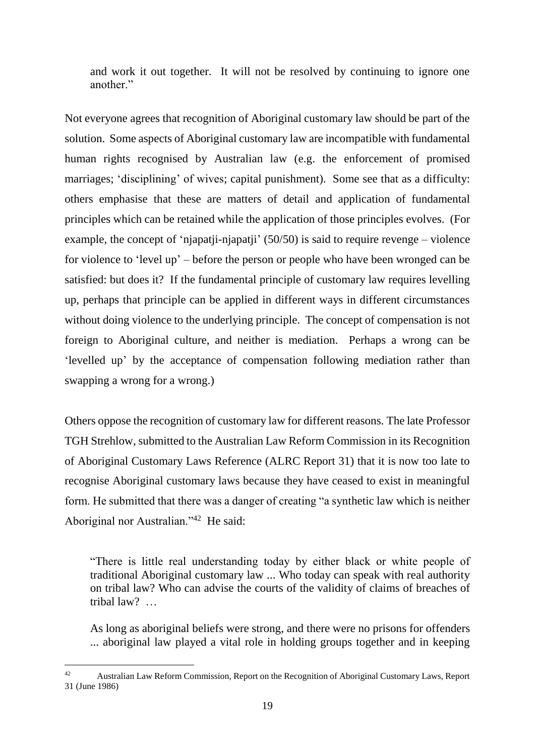and work it out together. It will not be resolved by continuing to ignore one another."

Not everyone agrees that recognition of Aboriginal customary law should be part of the solution. Some aspects of Aboriginal customary law are incompatible with fundamental human rights recognised by Australian law (e.g. the enforcement of promised marriages; 'disciplining' of wives; capital punishment). Some see that as a difficulty: others emphasise that these are matters of detail and application of fundamental principles which can be retained while the application of those principles evolves. (For example, the concept of 'njapatji-njapatji' (50/50) is said to require revenge – violence for violence to 'level up' – before the person or people who have been wronged can be satisfied: but does it? If the fundamental principle of customary law requires levelling up, perhaps that principle can be applied in different ways in different circumstances without doing violence to the underlying principle. The concept of compensation is not foreign to Aboriginal culture, and neither is mediation. Perhaps a wrong can be 'levelled up' by the acceptance of compensation following mediation rather than swapping a wrong for a wrong.)

Others oppose the recognition of customary law for different reasons. The late Professor TGH Strehlow, submitted to the Australian Law Reform Commission in its Recognition of Aboriginal Customary Laws Reference (ALRC Report 31) that it is now too late to recognise Aboriginal customary laws because they have ceased to exist in meaningful form. He submitted that there was a danger of creating "a synthetic law which is neither Aboriginal nor Australian."<sup>42</sup> He said:

"There is little real understanding today by either black or white people of traditional Aboriginal customary law ... Who today can speak with real authority on tribal law? Who can advise the courts of the validity of claims of breaches of tribal law? …

As long as aboriginal beliefs were strong, and there were no prisons for offenders ... aboriginal law played a vital role in holding groups together and in keeping

<sup>42</sup> Australian Law Reform Commission, Report on the Recognition of Aboriginal Customary Laws, Report 31 (June 1986)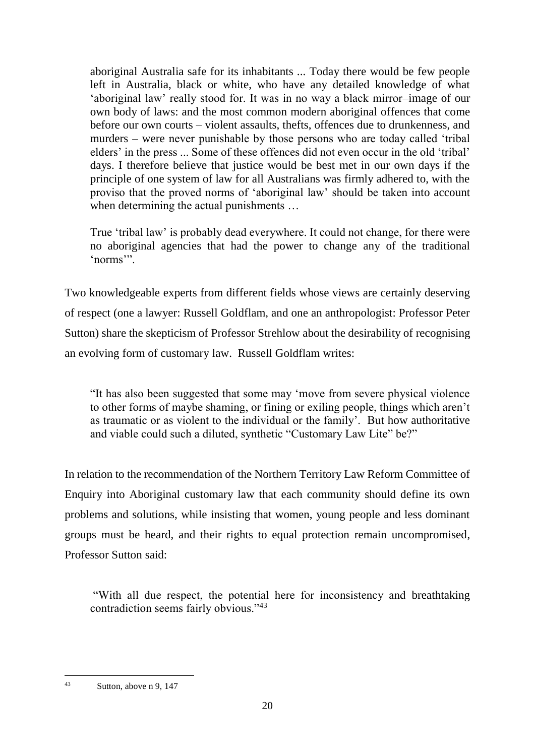aboriginal Australia safe for its inhabitants ... Today there would be few people left in Australia, black or white, who have any detailed knowledge of what 'aboriginal law' really stood for. It was in no way a black mirror–image of our own body of laws: and the most common modern aboriginal offences that come before our own courts – violent assaults, thefts, offences due to drunkenness, and murders – were never punishable by those persons who are today called 'tribal elders' in the press ... Some of these offences did not even occur in the old 'tribal' days. I therefore believe that justice would be best met in our own days if the principle of one system of law for all Australians was firmly adhered to, with the proviso that the proved norms of 'aboriginal law' should be taken into account when determining the actual punishments ...

True 'tribal law' is probably dead everywhere. It could not change, for there were no aboriginal agencies that had the power to change any of the traditional 'norms'".

Two knowledgeable experts from different fields whose views are certainly deserving of respect (one a lawyer: Russell Goldflam, and one an anthropologist: Professor Peter Sutton) share the skepticism of Professor Strehlow about the desirability of recognising an evolving form of customary law. Russell Goldflam writes:

"It has also been suggested that some may 'move from severe physical violence to other forms of maybe shaming, or fining or exiling people, things which aren't as traumatic or as violent to the individual or the family'. But how authoritative and viable could such a diluted, synthetic "Customary Law Lite" be?"

In relation to the recommendation of the Northern Territory Law Reform Committee of Enquiry into Aboriginal customary law that each community should define its own problems and solutions, while insisting that women, young people and less dominant groups must be heard, and their rights to equal protection remain uncompromised, Professor Sutton said:

"With all due respect, the potential here for inconsistency and breathtaking contradiction seems fairly obvious."<sup>43</sup>

 $43$ Sutton, above n 9, 147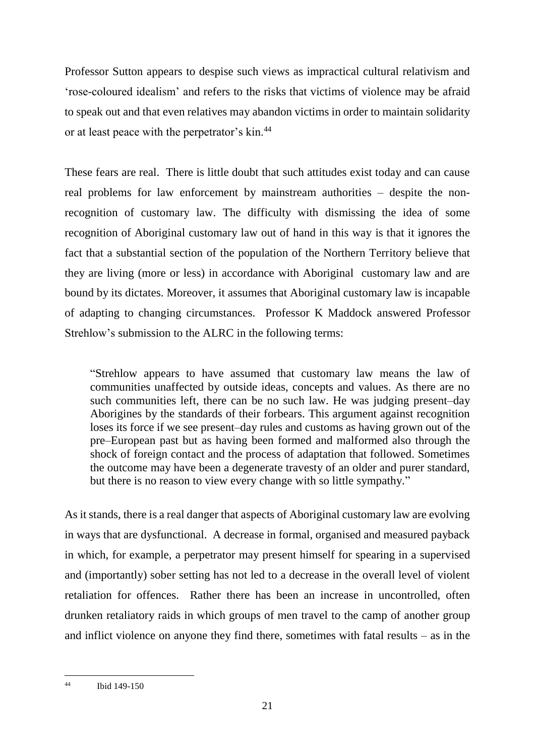Professor Sutton appears to despise such views as impractical cultural relativism and 'rose-coloured idealism' and refers to the risks that victims of violence may be afraid to speak out and that even relatives may abandon victims in order to maintain solidarity or at least peace with the perpetrator's kin.<sup>44</sup>

These fears are real. There is little doubt that such attitudes exist today and can cause real problems for law enforcement by mainstream authorities – despite the nonrecognition of customary law. The difficulty with dismissing the idea of some recognition of Aboriginal customary law out of hand in this way is that it ignores the fact that a substantial section of the population of the Northern Territory believe that they are living (more or less) in accordance with Aboriginal customary law and are bound by its dictates. Moreover, it assumes that Aboriginal customary law is incapable of adapting to changing circumstances. Professor K Maddock answered Professor Strehlow's submission to the ALRC in the following terms:

"Strehlow appears to have assumed that customary law means the law of communities unaffected by outside ideas, concepts and values. As there are no such communities left, there can be no such law. He was judging present–day Aborigines by the standards of their forbears. This argument against recognition loses its force if we see present–day rules and customs as having grown out of the pre–European past but as having been formed and malformed also through the shock of foreign contact and the process of adaptation that followed. Sometimes the outcome may have been a degenerate travesty of an older and purer standard, but there is no reason to view every change with so little sympathy."

As it stands, there is a real danger that aspects of Aboriginal customary law are evolving in ways that are dysfunctional. A decrease in formal, organised and measured payback in which, for example, a perpetrator may present himself for spearing in a supervised and (importantly) sober setting has not led to a decrease in the overall level of violent retaliation for offences. Rather there has been an increase in uncontrolled, often drunken retaliatory raids in which groups of men travel to the camp of another group and inflict violence on anyone they find there, sometimes with fatal results – as in the

 $44$ Ibid 149-150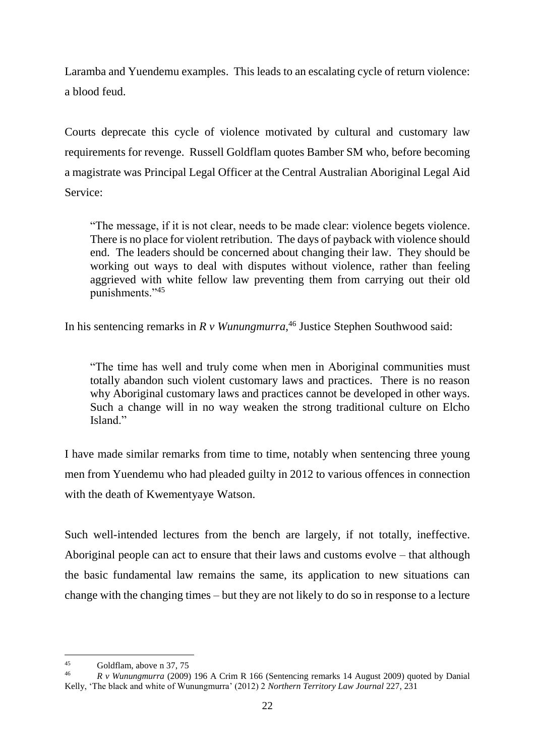Laramba and Yuendemu examples. This leads to an escalating cycle of return violence: a blood feud.

Courts deprecate this cycle of violence motivated by cultural and customary law requirements for revenge. Russell Goldflam quotes Bamber SM who, before becoming a magistrate was Principal Legal Officer at the Central Australian Aboriginal Legal Aid Service:

"The message, if it is not clear, needs to be made clear: violence begets violence. There is no place for violent retribution. The days of payback with violence should end. The leaders should be concerned about changing their law. They should be working out ways to deal with disputes without violence, rather than feeling aggrieved with white fellow law preventing them from carrying out their old punishments."<sup>45</sup>

In his sentencing remarks in *R v Wunungmurra*, <sup>46</sup> Justice Stephen Southwood said:

"The time has well and truly come when men in Aboriginal communities must totally abandon such violent customary laws and practices. There is no reason why Aboriginal customary laws and practices cannot be developed in other ways. Such a change will in no way weaken the strong traditional culture on Elcho Island<sup>"</sup>

I have made similar remarks from time to time, notably when sentencing three young men from Yuendemu who had pleaded guilty in 2012 to various offences in connection with the death of Kwementyaye Watson.

Such well-intended lectures from the bench are largely, if not totally, ineffective. Aboriginal people can act to ensure that their laws and customs evolve – that although the basic fundamental law remains the same, its application to new situations can change with the changing times – but they are not likely to do so in response to a lecture

 $45$  $\frac{45}{46}$  Goldflam, above n 37, 75

<sup>46</sup> *R v Wunungmurra* (2009) 196 A Crim R 166 (Sentencing remarks 14 August 2009) quoted by Danial Kelly, 'The black and white of Wunungmurra' (2012) 2 *Northern Territory Law Journal* 227, 231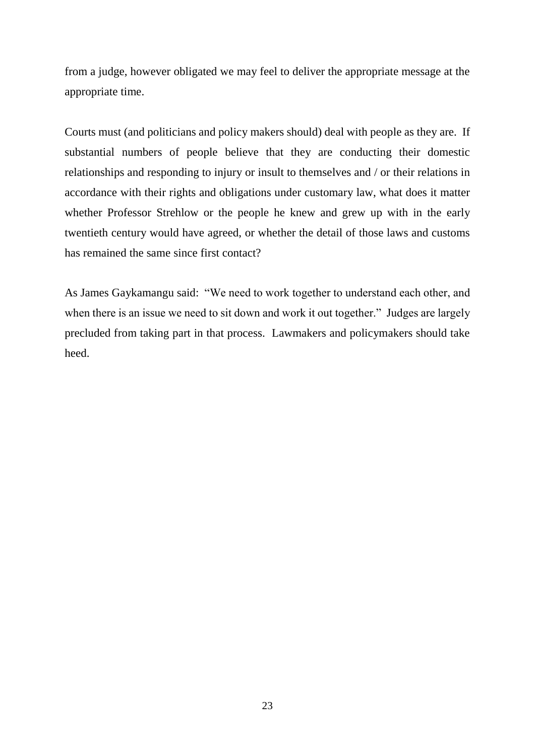from a judge, however obligated we may feel to deliver the appropriate message at the appropriate time.

Courts must (and politicians and policy makers should) deal with people as they are. If substantial numbers of people believe that they are conducting their domestic relationships and responding to injury or insult to themselves and / or their relations in accordance with their rights and obligations under customary law, what does it matter whether Professor Strehlow or the people he knew and grew up with in the early twentieth century would have agreed, or whether the detail of those laws and customs has remained the same since first contact?

As James Gaykamangu said: "We need to work together to understand each other, and when there is an issue we need to sit down and work it out together." Judges are largely precluded from taking part in that process. Lawmakers and policymakers should take heed.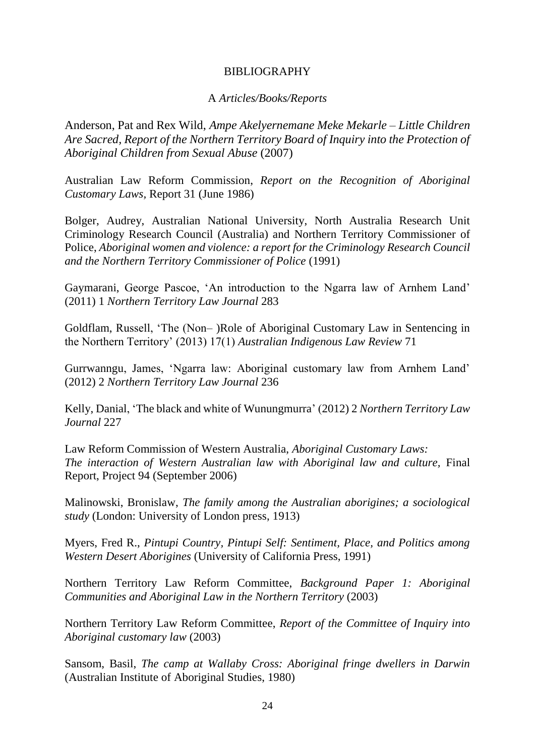## BIBLIOGRAPHY

## A *Articles/Books/Reports*

Anderson, Pat and Rex Wild, *Ampe Akelyernemane Meke Mekarle – Little Children Are Sacred, Report of the Northern Territory Board of Inquiry into the Protection of Aboriginal Children from Sexual Abuse* (2007)

Australian Law Reform Commission, *Report on the Recognition of Aboriginal Customary Laws,* Report 31 (June 1986)

Bolger, Audrey, Australian National University, North Australia Research Unit Criminology Research Council (Australia) and Northern Territory Commissioner of Police, *Aboriginal women and violence: a report for the Criminology Research Council and the Northern Territory Commissioner of Police* (1991)

Gaymarani, George Pascoe, 'An introduction to the Ngarra law of Arnhem Land' (2011) 1 *Northern Territory Law Journal* 283

Goldflam, Russell, 'The (Non– )Role of Aboriginal Customary Law in Sentencing in the Northern Territory' (2013) 17(1) *Australian Indigenous Law Review* 71

Gurrwanngu, James, 'Ngarra law: Aboriginal customary law from Arnhem Land' (2012) 2 *Northern Territory Law Journal* 236

Kelly, Danial, 'The black and white of Wunungmurra' (2012) 2 *Northern Territory Law Journal* 227

Law Reform Commission of Western Australia, *Aboriginal Customary Laws: The interaction of Western Australian law with Aboriginal law and culture, Final* Report, Project 94 (September 2006)

Malinowski, Bronislaw, *The family among the Australian aborigines; a sociological study* (London: University of London press, 1913)

Myers, Fred R., *Pintupi Country, Pintupi Self: Sentiment, Place, and Politics among Western Desert Aborigines* (University of California Press, 1991)

Northern Territory Law Reform Committee, *Background Paper 1: Aboriginal Communities and Aboriginal Law in the Northern Territory* (2003)

Northern Territory Law Reform Committee, *Report of the Committee of Inquiry into Aboriginal customary law* (2003)

Sansom, Basil, *The camp at Wallaby Cross: Aboriginal fringe dwellers in Darwin* (Australian Institute of Aboriginal Studies, 1980)